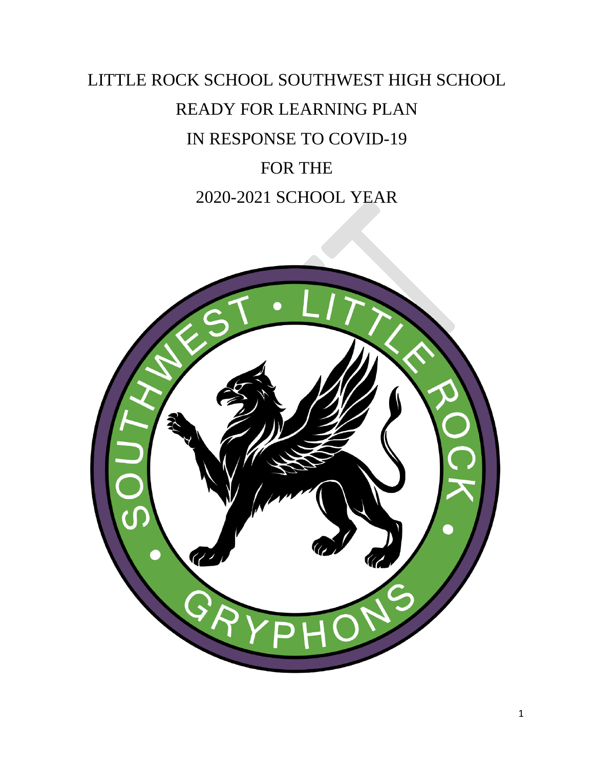# LITTLE ROCK SCHOOL SOUTHWEST HIGH SCHOOL READY FOR LEARNING PLAN IN RESPONSE TO COVID-19 FOR THE 2020-2021 SCHOOL YEAR

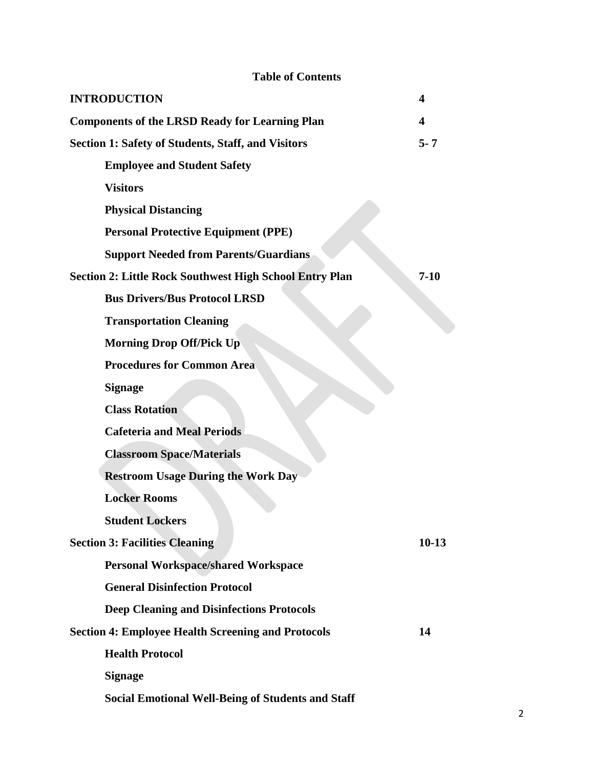| <b>Table of Contents</b>                                        |          |  |  |  |
|-----------------------------------------------------------------|----------|--|--|--|
| <b>INTRODUCTION</b>                                             | 4        |  |  |  |
| <b>Components of the LRSD Ready for Learning Plan</b>           | 4        |  |  |  |
| <b>Section 1: Safety of Students, Staff, and Visitors</b>       |          |  |  |  |
| <b>Employee and Student Safety</b>                              |          |  |  |  |
| <b>Visitors</b>                                                 |          |  |  |  |
| <b>Physical Distancing</b>                                      |          |  |  |  |
| <b>Personal Protective Equipment (PPE)</b>                      |          |  |  |  |
| <b>Support Needed from Parents/Guardians</b>                    |          |  |  |  |
| <b>Section 2: Little Rock Southwest High School Entry Plan</b>  | $7 - 10$ |  |  |  |
| <b>Bus Drivers/Bus Protocol LRSD</b>                            |          |  |  |  |
| <b>Transportation Cleaning</b>                                  |          |  |  |  |
| <b>Morning Drop Off/Pick Up</b>                                 |          |  |  |  |
| <b>Procedures for Common Area</b>                               |          |  |  |  |
| <b>Signage</b>                                                  |          |  |  |  |
| <b>Class Rotation</b>                                           |          |  |  |  |
| <b>Cafeteria and Meal Periods</b>                               |          |  |  |  |
| <b>Classroom Space/Materials</b>                                |          |  |  |  |
| <b>Restroom Usage During the Work Day</b>                       |          |  |  |  |
| <b>Locker Rooms</b>                                             |          |  |  |  |
| <b>Student Lockers</b>                                          |          |  |  |  |
| <b>Section 3: Facilities Cleaning</b>                           | $10-13$  |  |  |  |
| <b>Personal Workspace/shared Workspace</b>                      |          |  |  |  |
| <b>General Disinfection Protocol</b>                            |          |  |  |  |
| <b>Deep Cleaning and Disinfections Protocols</b>                |          |  |  |  |
| <b>Section 4: Employee Health Screening and Protocols</b><br>14 |          |  |  |  |
| <b>Health Protocol</b>                                          |          |  |  |  |
| <b>Signage</b>                                                  |          |  |  |  |
| <b>Social Emotional Well-Being of Students and Staff</b>        |          |  |  |  |

#### 2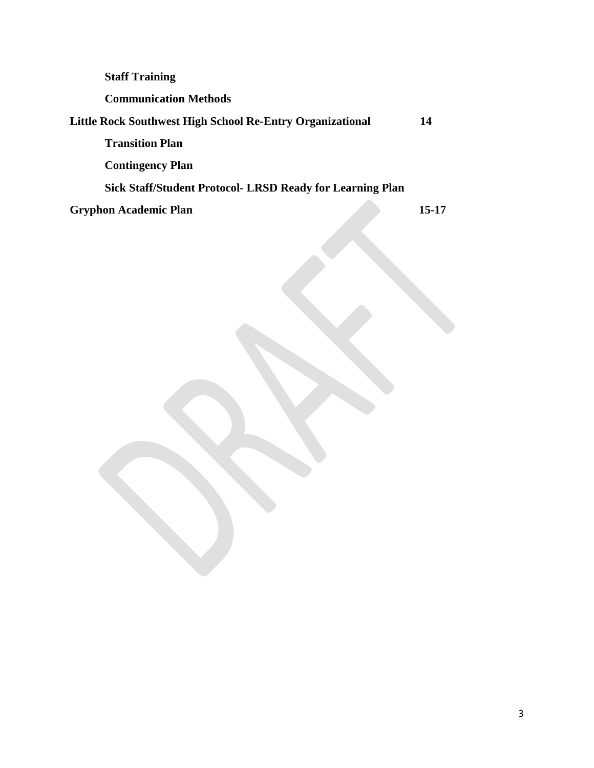| <b>Staff Training</b>                                     |       |
|-----------------------------------------------------------|-------|
| <b>Communication Methods</b>                              |       |
| Little Rock Southwest High School Re-Entry Organizational | 14    |
| <b>Transition Plan</b>                                    |       |
| <b>Contingency Plan</b>                                   |       |
| Sick Staff/Student Protocol- LRSD Ready for Learning Plan |       |
| <b>Gryphon Academic Plan</b>                              | 15-17 |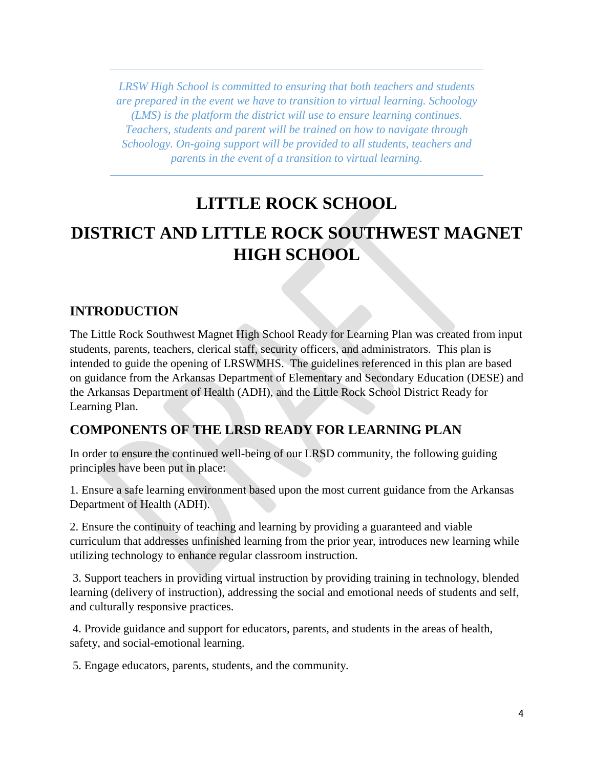*LRSW High School is committed to ensuring that both teachers and students are prepared in the event we have to transition to virtual learning. Schoology (LMS) is the platform the district will use to ensure learning continues. Teachers, students and parent will be trained on how to navigate through Schoology. On-going support will be provided to all students, teachers and parents in the event of a transition to virtual learning.* 

## **LITTLE ROCK SCHOOL**

## **DISTRICT AND LITTLE ROCK SOUTHWEST MAGNET HIGH SCHOOL**

#### **INTRODUCTION**

The Little Rock Southwest Magnet High School Ready for Learning Plan was created from input students, parents, teachers, clerical staff, security officers, and administrators. This plan is intended to guide the opening of LRSWMHS. The guidelines referenced in this plan are based on guidance from the Arkansas Department of Elementary and Secondary Education (DESE) and the Arkansas Department of Health (ADH), and the Little Rock School District Ready for Learning Plan.

#### **COMPONENTS OF THE LRSD READY FOR LEARNING PLAN**

In order to ensure the continued well-being of our LRSD community, the following guiding principles have been put in place:

1. Ensure a safe learning environment based upon the most current guidance from the Arkansas Department of Health (ADH).

2. Ensure the continuity of teaching and learning by providing a guaranteed and viable curriculum that addresses unfinished learning from the prior year, introduces new learning while utilizing technology to enhance regular classroom instruction.

3. Support teachers in providing virtual instruction by providing training in technology, blended learning (delivery of instruction), addressing the social and emotional needs of students and self, and culturally responsive practices.

4. Provide guidance and support for educators, parents, and students in the areas of health, safety, and social-emotional learning.

5. Engage educators, parents, students, and the community.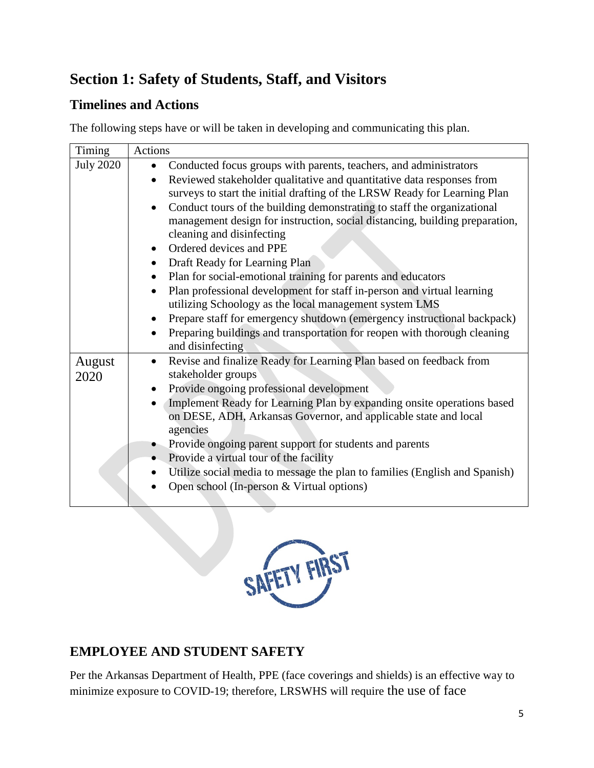## **Section 1: Safety of Students, Staff, and Visitors**

## **Timelines and Actions**

The following steps have or will be taken in developing and communicating this plan.

| Timing           | Actions                                                                         |
|------------------|---------------------------------------------------------------------------------|
| <b>July 2020</b> | Conducted focus groups with parents, teachers, and administrators               |
|                  | Reviewed stakeholder qualitative and quantitative data responses from           |
|                  | surveys to start the initial drafting of the LRSW Ready for Learning Plan       |
|                  | Conduct tours of the building demonstrating to staff the organizational         |
|                  | management design for instruction, social distancing, building preparation,     |
|                  | cleaning and disinfecting                                                       |
|                  | Ordered devices and PPE                                                         |
|                  | • Draft Ready for Learning Plan                                                 |
|                  | Plan for social-emotional training for parents and educators                    |
|                  | Plan professional development for staff in-person and virtual learning          |
|                  | utilizing Schoology as the local management system LMS                          |
|                  | Prepare staff for emergency shutdown (emergency instructional backpack)         |
|                  | Preparing buildings and transportation for reopen with thorough cleaning        |
|                  | and disinfecting                                                                |
| August           | Revise and finalize Ready for Learning Plan based on feedback from<br>$\bullet$ |
| 2020             | stakeholder groups                                                              |
|                  | Provide ongoing professional development<br>$\bullet$                           |
|                  | Implement Ready for Learning Plan by expanding onsite operations based          |
|                  | on DESE, ADH, Arkansas Governor, and applicable state and local                 |
|                  | agencies                                                                        |
|                  | • Provide ongoing parent support for students and parents                       |
|                  | Provide a virtual tour of the facility                                          |
|                  | Utilize social media to message the plan to families (English and Spanish)      |
|                  | Open school (In-person & Virtual options)                                       |
|                  |                                                                                 |



## **EMPLOYEE AND STUDENT SAFETY**

Per the Arkansas Department of Health, PPE (face coverings and shields) is an effective way to minimize exposure to COVID-19; therefore, LRSWHS will require the use of face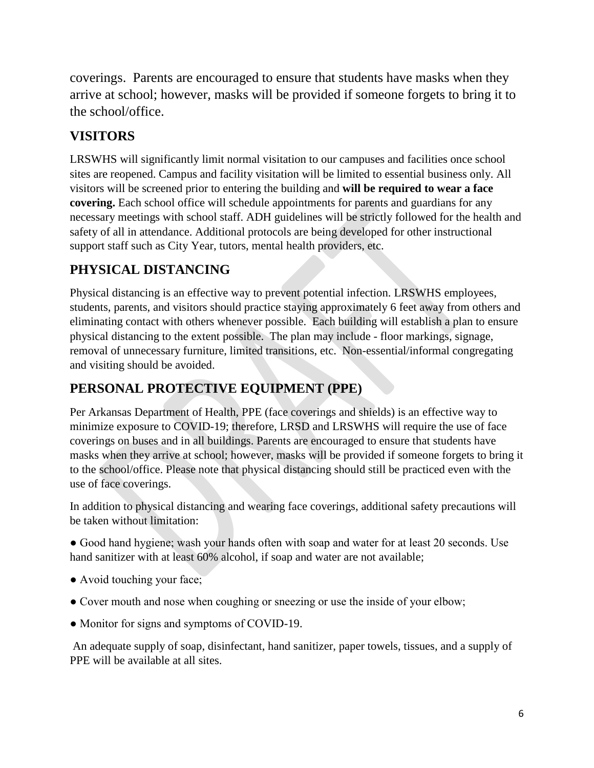coverings. Parents are encouraged to ensure that students have masks when they arrive at school; however, masks will be provided if someone forgets to bring it to the school/office.

## **VISITORS**

LRSWHS will significantly limit normal visitation to our campuses and facilities once school sites are reopened. Campus and facility visitation will be limited to essential business only. All visitors will be screened prior to entering the building and **will be required to wear a face covering.** Each school office will schedule appointments for parents and guardians for any necessary meetings with school staff. ADH guidelines will be strictly followed for the health and safety of all in attendance. Additional protocols are being developed for other instructional support staff such as City Year, tutors, mental health providers, etc.

## **PHYSICAL DISTANCING**

Physical distancing is an effective way to prevent potential infection. LRSWHS employees, students, parents, and visitors should practice staying approximately 6 feet away from others and eliminating contact with others whenever possible. Each building will establish a plan to ensure physical distancing to the extent possible. The plan may include - floor markings, signage, removal of unnecessary furniture, limited transitions, etc. Non-essential/informal congregating and visiting should be avoided.

## **PERSONAL PROTECTIVE EQUIPMENT (PPE)**

Per Arkansas Department of Health, PPE (face coverings and shields) is an effective way to minimize exposure to COVID-19; therefore, LRSD and LRSWHS will require the use of face coverings on buses and in all buildings. Parents are encouraged to ensure that students have masks when they arrive at school; however, masks will be provided if someone forgets to bring it to the school/office. Please note that physical distancing should still be practiced even with the use of face coverings.

In addition to physical distancing and wearing face coverings, additional safety precautions will be taken without limitation:

• Good hand hygiene; wash your hands often with soap and water for at least 20 seconds. Use hand sanitizer with at least 60% alcohol, if soap and water are not available;

- Avoid touching your face;
- Cover mouth and nose when coughing or sneezing or use the inside of your elbow;
- Monitor for signs and symptoms of COVID-19.

An adequate supply of soap, disinfectant, hand sanitizer, paper towels, tissues, and a supply of PPE will be available at all sites.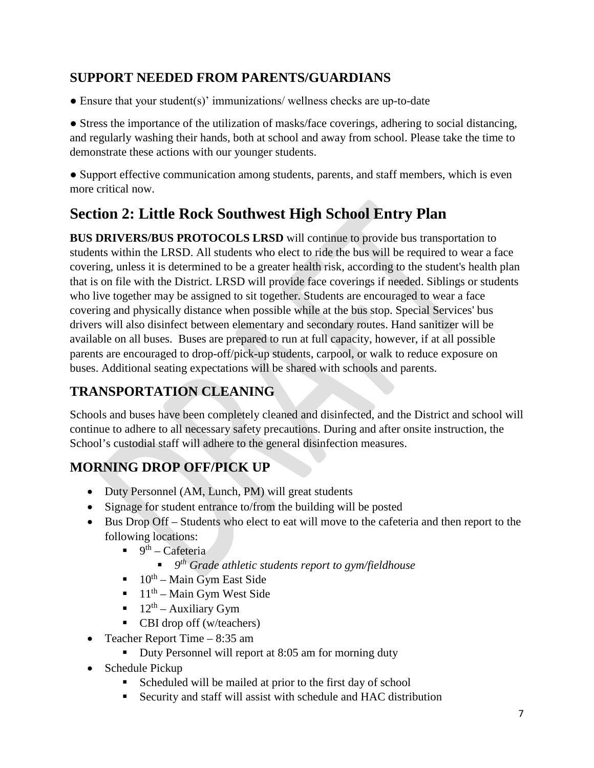### **SUPPORT NEEDED FROM PARENTS/GUARDIANS**

● Ensure that your student(s)' immunizations/ wellness checks are up-to-date

• Stress the importance of the utilization of masks/face coverings, adhering to social distancing, and regularly washing their hands, both at school and away from school. Please take the time to demonstrate these actions with our younger students.

● Support effective communication among students, parents, and staff members, which is even more critical now.

## **Section 2: Little Rock Southwest High School Entry Plan**

**BUS DRIVERS/BUS PROTOCOLS LRSD** will continue to provide bus transportation to students within the LRSD. All students who elect to ride the bus will be required to wear a face covering, unless it is determined to be a greater health risk, according to the student's health plan that is on file with the District. LRSD will provide face coverings if needed. Siblings or students who live together may be assigned to sit together. Students are encouraged to wear a face covering and physically distance when possible while at the bus stop. Special Services' bus drivers will also disinfect between elementary and secondary routes. Hand sanitizer will be available on all buses. Buses are prepared to run at full capacity, however, if at all possible parents are encouraged to drop-off/pick-up students, carpool, or walk to reduce exposure on buses. Additional seating expectations will be shared with schools and parents.

## **TRANSPORTATION CLEANING**

Schools and buses have been completely cleaned and disinfected, and the District and school will continue to adhere to all necessary safety precautions. During and after onsite instruction, the School's custodial staff will adhere to the general disinfection measures.

## **MORNING DROP OFF/PICK UP**

- Duty Personnel (AM, Lunch, PM) will great students
- Signage for student entrance to/from the building will be posted
- Bus Drop Off Students who elect to eat will move to the cafeteria and then report to the following locations:
	- $9^{th}$  Cafeteria
		- *9th Grade athletic students report to gym/fieldhouse*
	- $10^{th}$  Main Gym East Side
	- $11<sup>th</sup> Main Gym West Side$
	- $12^{th}$  Auxiliary Gym
	- CBI drop off (w/teachers)
- Teacher Report Time 8:35 am
	- Duty Personnel will report at 8:05 am for morning duty
- Schedule Pickup
	- Scheduled will be mailed at prior to the first day of school
	- Security and staff will assist with schedule and HAC distribution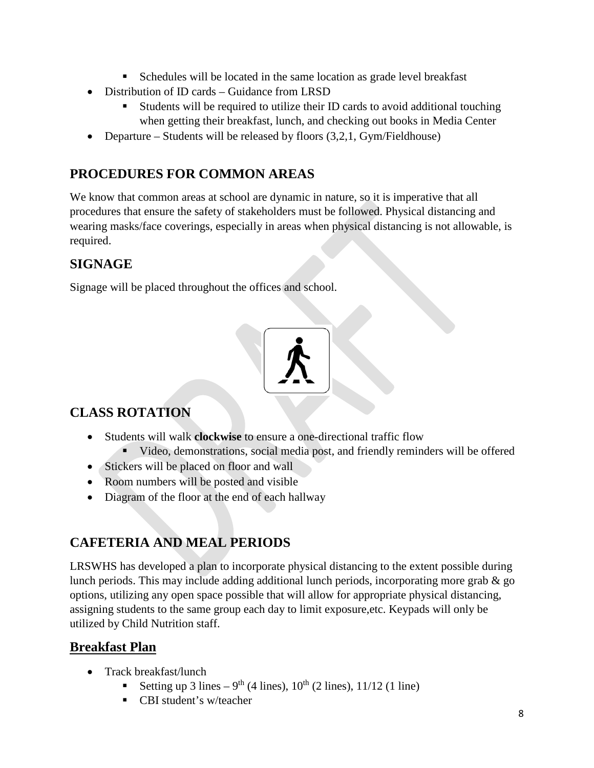- Schedules will be located in the same location as grade level breakfast
- Distribution of ID cards Guidance from LRSD
	- Students will be required to utilize their ID cards to avoid additional touching when getting their breakfast, lunch, and checking out books in Media Center
- Departure Students will be released by floors  $(3.2.1, \text{Gym/Fieldhouse})$

### **PROCEDURES FOR COMMON AREAS**

We know that common areas at school are dynamic in nature, so it is imperative that all procedures that ensure the safety of stakeholders must be followed. Physical distancing and wearing masks/face coverings, especially in areas when physical distancing is not allowable, is required.

#### **SIGNAGE**

Signage will be placed throughout the offices and school.



## **CLASS ROTATION**

- Students will walk **clockwise** to ensure a one-directional traffic flow
	- Video, demonstrations, social media post, and friendly reminders will be offered
- Stickers will be placed on floor and wall
- Room numbers will be posted and visible
- Diagram of the floor at the end of each hallway

## **CAFETERIA AND MEAL PERIODS**

LRSWHS has developed a plan to incorporate physical distancing to the extent possible during lunch periods. This may include adding additional lunch periods, incorporating more grab & go options, utilizing any open space possible that will allow for appropriate physical distancing, assigning students to the same group each day to limit exposure,etc. Keypads will only be utilized by Child Nutrition staff.

#### **Breakfast Plan**

- Track breakfast/lunch
	- Setting up 3 lines 9<sup>th</sup> (4 lines),  $10^{th}$  (2 lines),  $11/12$  (1 line)
	- CBI student's w/teacher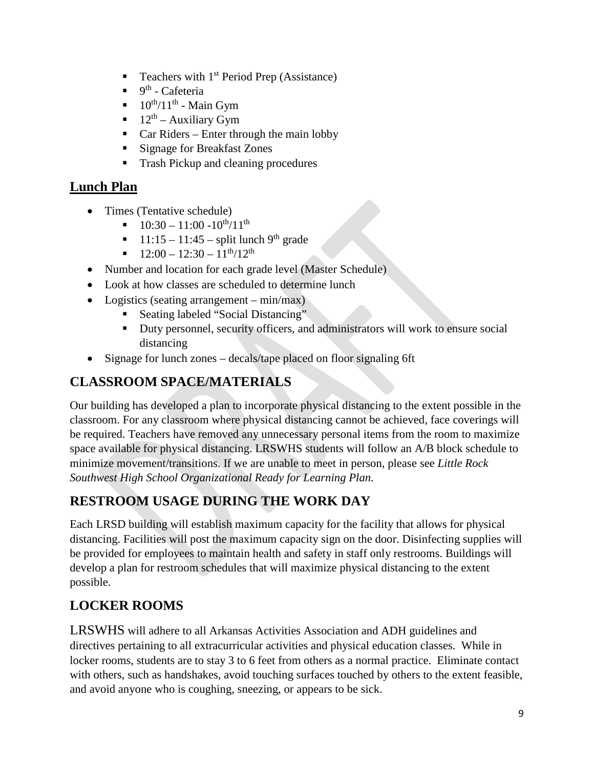- Teachers with  $1<sup>st</sup>$  Period Prep (Assistance)
- $9<sup>th</sup>$  Cafeteria
- $\blacksquare$  10<sup>th</sup>/11<sup>th</sup> Main Gym
- $12^{th}$  Auxiliary Gym
- $\blacksquare$  Car Riders Enter through the main lobby
- **Signage for Breakfast Zones**
- **Trash Pickup and cleaning procedures**

### **Lunch Plan**

- Times (Tentative schedule)
	- $10:30 11:00 10^{th}/11^{th}$
	- $11:15 11:45$  split lunch 9<sup>th</sup> grade
	- $12:00 12:30 11^{th}/12^{th}$
- Number and location for each grade level (Master Schedule)
- Look at how classes are scheduled to determine lunch
- Logistics (seating arrangement min/max)
	- Seating labeled "Social Distancing"
	- Duty personnel, security officers, and administrators will work to ensure social distancing
- Signage for lunch zones decals/tape placed on floor signaling 6ft

## **CLASSROOM SPACE/MATERIALS**

Our building has developed a plan to incorporate physical distancing to the extent possible in the classroom. For any classroom where physical distancing cannot be achieved, face coverings will be required. Teachers have removed any unnecessary personal items from the room to maximize space available for physical distancing. LRSWHS students will follow an A/B block schedule to minimize movement/transitions. If we are unable to meet in person, please see *Little Rock Southwest High School Organizational Ready for Learning Plan.*

## **RESTROOM USAGE DURING THE WORK DAY**

Each LRSD building will establish maximum capacity for the facility that allows for physical distancing. Facilities will post the maximum capacity sign on the door. Disinfecting supplies will be provided for employees to maintain health and safety in staff only restrooms. Buildings will develop a plan for restroom schedules that will maximize physical distancing to the extent possible.

## **LOCKER ROOMS**

LRSWHS will adhere to all Arkansas Activities Association and ADH guidelines and directives pertaining to all extracurricular activities and physical education classes. While in locker rooms, students are to stay 3 to 6 feet from others as a normal practice. Eliminate contact with others, such as handshakes, avoid touching surfaces touched by others to the extent feasible, and avoid anyone who is coughing, sneezing, or appears to be sick.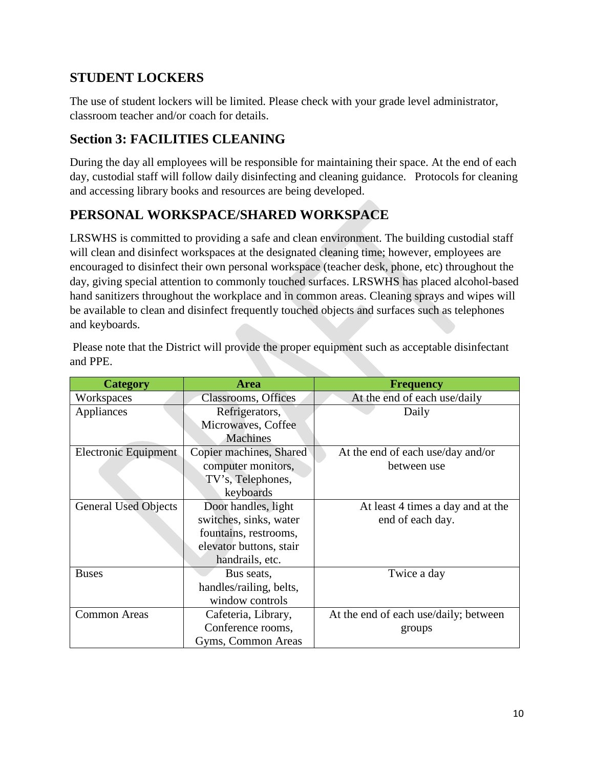### **STUDENT LOCKERS**

The use of student lockers will be limited. Please check with your grade level administrator, classroom teacher and/or coach for details.

### **Section 3: FACILITIES CLEANING**

During the day all employees will be responsible for maintaining their space. At the end of each day, custodial staff will follow daily disinfecting and cleaning guidance. Protocols for cleaning and accessing library books and resources are being developed.

## **PERSONAL WORKSPACE/SHARED WORKSPACE**

LRSWHS is committed to providing a safe and clean environment. The building custodial staff will clean and disinfect workspaces at the designated cleaning time; however, employees are encouraged to disinfect their own personal workspace (teacher desk, phone, etc) throughout the day, giving special attention to commonly touched surfaces. LRSWHS has placed alcohol-based hand sanitizers throughout the workplace and in common areas. Cleaning sprays and wipes will be available to clean and disinfect frequently touched objects and surfaces such as telephones and keyboards.

| <b>Category</b>             | <b>Area</b>             | <b>Frequency</b>                      |
|-----------------------------|-------------------------|---------------------------------------|
| Workspaces                  | Classrooms, Offices     | At the end of each use/daily          |
| Appliances                  | Refrigerators,          | Daily                                 |
|                             | Microwaves, Coffee      |                                       |
|                             | <b>Machines</b>         |                                       |
| Electronic Equipment        | Copier machines, Shared | At the end of each use/day and/or     |
|                             | computer monitors,      | between use                           |
|                             | TV's, Telephones,       |                                       |
|                             | keyboards               |                                       |
| <b>General Used Objects</b> | Door handles, light     | At least 4 times a day and at the     |
|                             | switches, sinks, water  | end of each day.                      |
|                             | fountains, restrooms,   |                                       |
|                             | elevator buttons, stair |                                       |
|                             | handrails, etc.         |                                       |
| <b>Buses</b>                | Bus seats,              | Twice a day                           |
|                             | handles/railing, belts, |                                       |
|                             | window controls         |                                       |
| <b>Common Areas</b>         | Cafeteria, Library,     | At the end of each use/daily; between |
|                             | Conference rooms,       | groups                                |
|                             | Gyms, Common Areas      |                                       |

Please note that the District will provide the proper equipment such as acceptable disinfectant and PPE.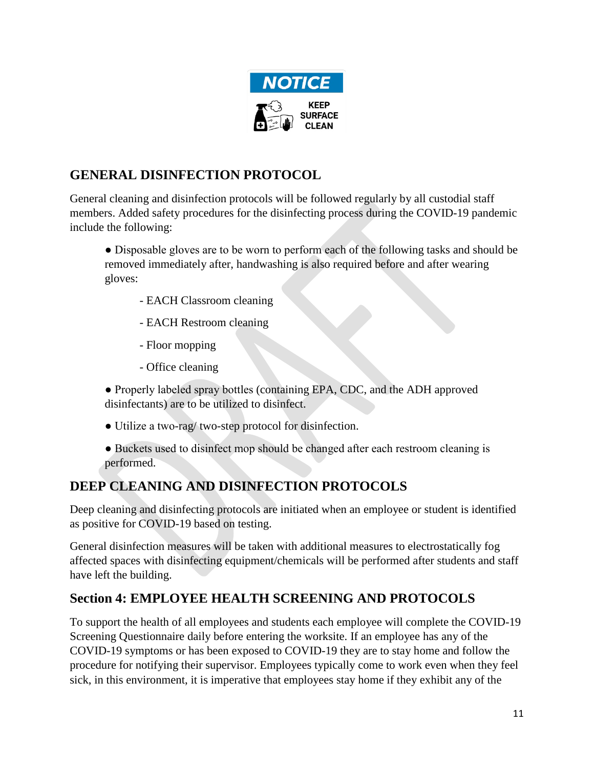

## **GENERAL DISINFECTION PROTOCOL**

General cleaning and disinfection protocols will be followed regularly by all custodial staff members. Added safety procedures for the disinfecting process during the COVID-19 pandemic include the following:

• Disposable gloves are to be worn to perform each of the following tasks and should be removed immediately after, handwashing is also required before and after wearing gloves:

- EACH Classroom cleaning
- EACH Restroom cleaning
- Floor mopping
- Office cleaning

● Properly labeled spray bottles (containing EPA, CDC, and the ADH approved disinfectants) are to be utilized to disinfect.

● Utilize a two-rag/ two-step protocol for disinfection.

● Buckets used to disinfect mop should be changed after each restroom cleaning is performed.

## **DEEP CLEANING AND DISINFECTION PROTOCOLS**

Deep cleaning and disinfecting protocols are initiated when an employee or student is identified as positive for COVID-19 based on testing.

General disinfection measures will be taken with additional measures to electrostatically fog affected spaces with disinfecting equipment/chemicals will be performed after students and staff have left the building.

## **Section 4: EMPLOYEE HEALTH SCREENING AND PROTOCOLS**

To support the health of all employees and students each employee will complete the COVID-19 Screening Questionnaire daily before entering the worksite. If an employee has any of the COVID-19 symptoms or has been exposed to COVID-19 they are to stay home and follow the procedure for notifying their supervisor. Employees typically come to work even when they feel sick, in this environment, it is imperative that employees stay home if they exhibit any of the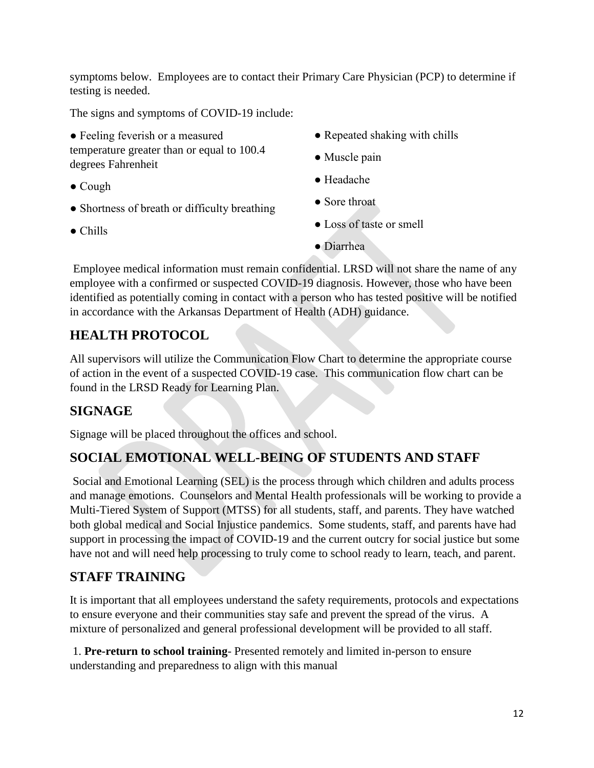symptoms below. Employees are to contact their Primary Care Physician (PCP) to determine if testing is needed.

The signs and symptoms of COVID-19 include:

- Feeling feverish or a measured temperature greater than or equal to 100.4 degrees Fahrenheit
- Cough
- Shortness of breath or difficulty breathing
- Chills
- Repeated shaking with chills
- Muscle pain
- Headache
- Sore throat
- Loss of taste or smell
- Diarrhea

Employee medical information must remain confidential. LRSD will not share the name of any employee with a confirmed or suspected COVID-19 diagnosis. However, those who have been identified as potentially coming in contact with a person who has tested positive will be notified in accordance with the Arkansas Department of Health (ADH) guidance.

## **HEALTH PROTOCOL**

All supervisors will utilize the Communication Flow Chart to determine the appropriate course of action in the event of a suspected COVID-19 case. This communication flow chart can be found in the LRSD Ready for Learning Plan.

#### **SIGNAGE**

Signage will be placed throughout the offices and school.

## **SOCIAL EMOTIONAL WELL-BEING OF STUDENTS AND STAFF**

Social and Emotional Learning (SEL) is the process through which children and adults process and manage emotions. Counselors and Mental Health professionals will be working to provide a Multi-Tiered System of Support (MTSS) for all students, staff, and parents. They have watched both global medical and Social Injustice pandemics. Some students, staff, and parents have had support in processing the impact of COVID-19 and the current outcry for social justice but some have not and will need help processing to truly come to school ready to learn, teach, and parent.

## **STAFF TRAINING**

It is important that all employees understand the safety requirements, protocols and expectations to ensure everyone and their communities stay safe and prevent the spread of the virus. A mixture of personalized and general professional development will be provided to all staff.

1. **Pre-return to school training**- Presented remotely and limited in-person to ensure understanding and preparedness to align with this manual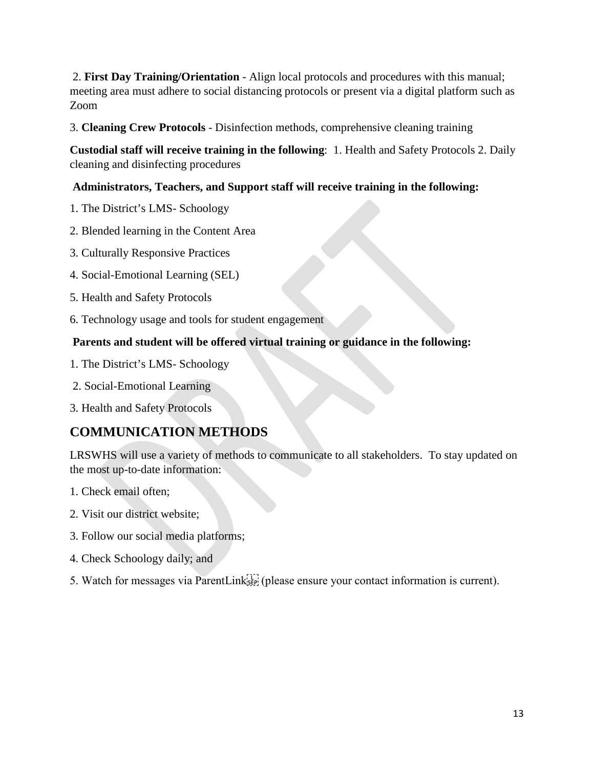2. **First Day Training/Orientation** - Align local protocols and procedures with this manual; meeting area must adhere to social distancing protocols or present via a digital platform such as Zoom

3. **Cleaning Crew Protocols** - Disinfection methods, comprehensive cleaning training

**Custodial staff will receive training in the following**: 1. Health and Safety Protocols 2. Daily cleaning and disinfecting procedures

#### **Administrators, Teachers, and Support staff will receive training in the following:**

- 1. The District's LMS- Schoology
- 2. Blended learning in the Content Area
- 3. Culturally Responsive Practices
- 4. Social-Emotional Learning (SEL)
- 5. Health and Safety Protocols
- 6. Technology usage and tools for student engagement

#### **Parents and student will be offered virtual training or guidance in the following:**

- 1. The District's LMS- Schoology
- 2. Social-Emotional Learning
- 3. Health and Safety Protocols

#### **COMMUNICATION METHODS**

LRSWHS will use a variety of methods to communicate to all stakeholders. To stay updated on the most up-to-date information:

- 1. Check email often;
- 2. Visit our district website;
- 3. Follow our social media platforms;
- 4. Check Schoology daily; and
- 5. Watch for messages via ParentLink<sup>[17]</sup> (please ensure your contact information is current).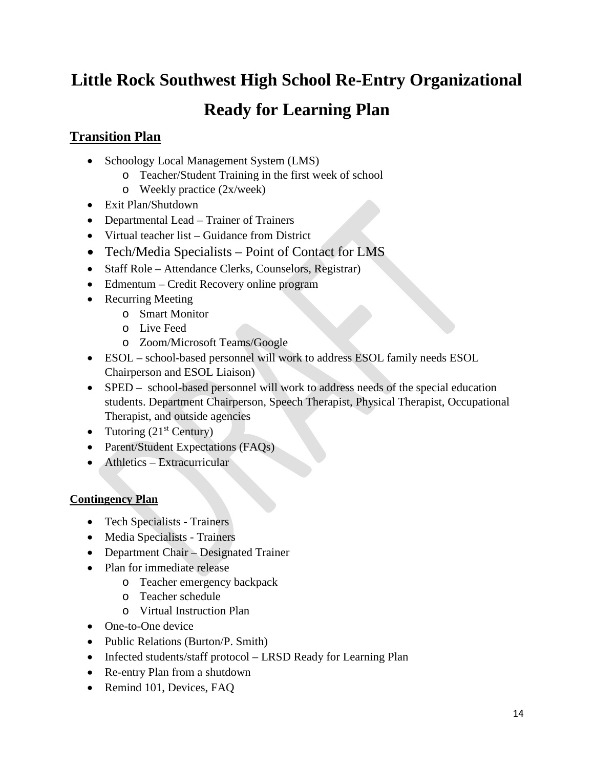## **Little Rock Southwest High School Re-Entry Organizational**

## **Ready for Learning Plan**

#### **Transition Plan**

- Schoology Local Management System (LMS)
	- o Teacher/Student Training in the first week of school
	- o Weekly practice (2x/week)
- Exit Plan/Shutdown
- Departmental Lead Trainer of Trainers
- Virtual teacher list Guidance from District
- Tech/Media Specialists Point of Contact for LMS
- Staff Role Attendance Clerks, Counselors, Registrar)
- Edmentum Credit Recovery online program
- Recurring Meeting
	- o Smart Monitor
	- o Live Feed
	- o Zoom/Microsoft Teams/Google
- ESOL school-based personnel will work to address ESOL family needs ESOL Chairperson and ESOL Liaison)
- SPED school-based personnel will work to address needs of the special education students. Department Chairperson, Speech Therapist, Physical Therapist, Occupational Therapist, and outside agencies
- Tutoring  $(21<sup>st</sup> Century)$
- Parent/Student Expectations (FAQs)
- Athletics Extracurricular

#### **Contingency Plan**

- Tech Specialists Trainers
- Media Specialists Trainers
- Department Chair Designated Trainer
- Plan for immediate release
	- o Teacher emergency backpack
	- o Teacher schedule
	- o Virtual Instruction Plan
- One-to-One device
- Public Relations (Burton/P. Smith)
- Infected students/staff protocol LRSD Ready for Learning Plan
- Re-entry Plan from a shutdown
- Remind 101, Devices, FAQ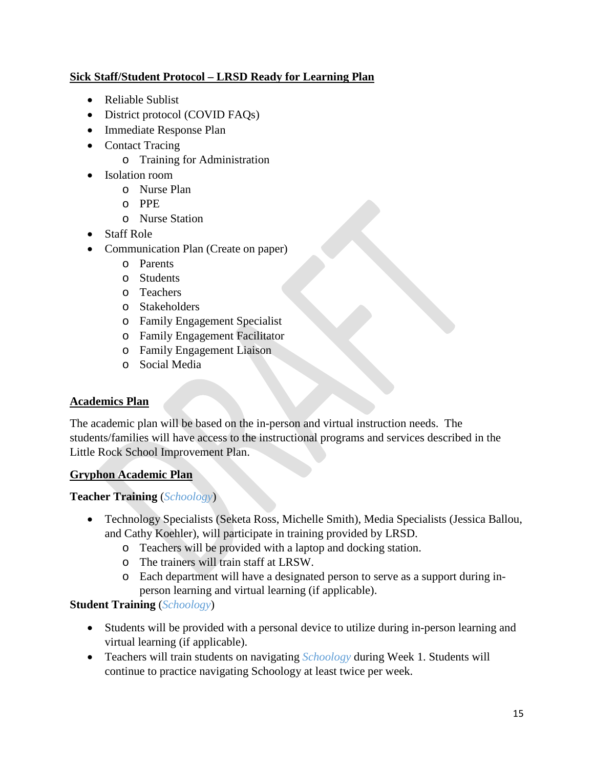#### **Sick Staff/Student Protocol – LRSD Ready for Learning Plan**

- Reliable Sublist
- District protocol (COVID FAQs)
- Immediate Response Plan
- Contact Tracing
	- o Training for Administration
- Isolation room
	- o Nurse Plan
	- o PPE
	- o Nurse Station
- Staff Role
- Communication Plan (Create on paper)
	- o Parents
	- o Students
	- o Teachers
	- o Stakeholders
	- o Family Engagement Specialist
	- o Family Engagement Facilitator
	- o Family Engagement Liaison
	- o Social Media

#### **Academics Plan**

The academic plan will be based on the in-person and virtual instruction needs. The students/families will have access to the instructional programs and services described in the Little Rock School Improvement Plan.

#### **Gryphon Academic Plan**

#### **Teacher Training** (*Schoology*)

- Technology Specialists (Seketa Ross, Michelle Smith), Media Specialists (Jessica Ballou, and Cathy Koehler), will participate in training provided by LRSD.
	- o Teachers will be provided with a laptop and docking station.
	- o The trainers will train staff at LRSW.
	- o Each department will have a designated person to serve as a support during inperson learning and virtual learning (if applicable).

#### **Student Training** (*Schoology*)

- Students will be provided with a personal device to utilize during in-person learning and virtual learning (if applicable).
- Teachers will train students on navigating *Schoology* during Week 1. Students will continue to practice navigating Schoology at least twice per week.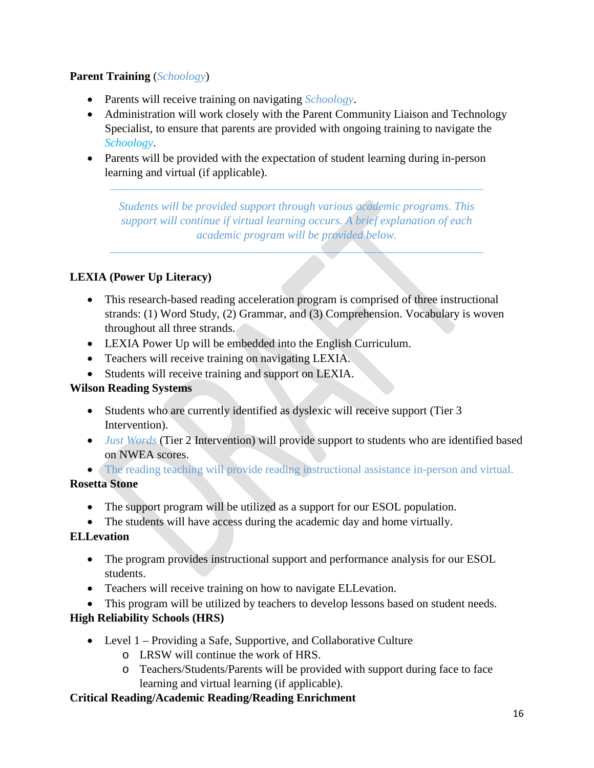#### **Parent Training** (*Schoology*)

- Parents will receive training on navigating *Schoology*.
- Administration will work closely with the Parent Community Liaison and Technology Specialist, to ensure that parents are provided with ongoing training to navigate the *Schoology*.
- Parents will be provided with the expectation of student learning during in-person learning and virtual (if applicable).

*Students will be provided support through various academic programs. This support will continue if virtual learning occurs. A brief explanation of each academic program will be provided below.* 

#### **LEXIA (Power Up Literacy)**

- This research-based reading acceleration program is comprised of three instructional strands: (1) Word Study, (2) Grammar, and (3) Comprehension. Vocabulary is woven throughout all three strands.
- LEXIA Power Up will be embedded into the English Curriculum.
- Teachers will receive training on navigating LEXIA.
- Students will receive training and support on LEXIA.

#### **Wilson Reading Systems**

- Students who are currently identified as dyslexic will receive support (Tier 3 Intervention).
- *Just Words* (Tier 2 Intervention) will provide support to students who are identified based on NWEA scores.
- The reading teaching will provide reading instructional assistance in-person and virtual.

#### **Rosetta Stone**

- The support program will be utilized as a support for our ESOL population.
- The students will have access during the academic day and home virtually.

#### **ELLevation**

- The program provides instructional support and performance analysis for our ESOL students.
- Teachers will receive training on how to navigate ELLevation.
- This program will be utilized by teachers to develop lessons based on student needs.

#### **High Reliability Schools (HRS)**

- Level 1 Providing a Safe, Supportive, and Collaborative Culture
	- o LRSW will continue the work of HRS.
	- o Teachers/Students/Parents will be provided with support during face to face learning and virtual learning (if applicable).

#### **Critical Reading/Academic Reading/Reading Enrichment**